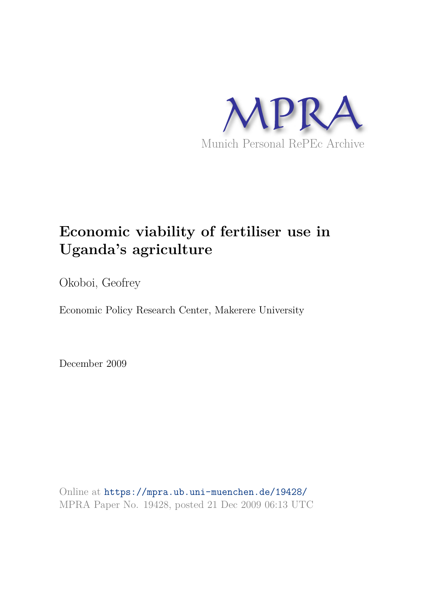

# **Economic viability of fertiliser use in Uganda's agriculture**

Okoboi, Geofrey

Economic Policy Research Center, Makerere University

December 2009

Online at https://mpra.ub.uni-muenchen.de/19428/ MPRA Paper No. 19428, posted 21 Dec 2009 06:13 UTC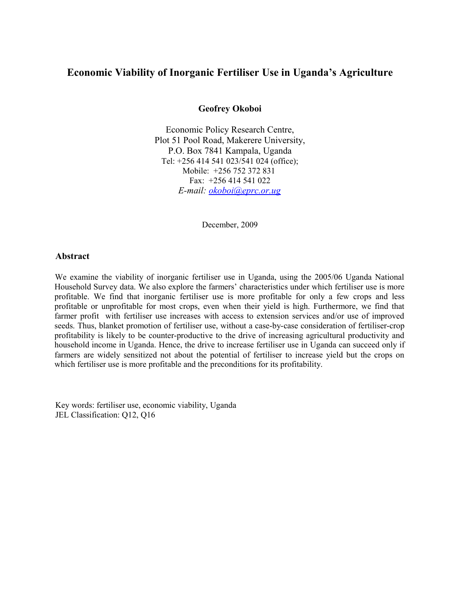# **Economic Viability of Inorganic Fertiliser Use in Uganda's Agriculture**

**Geofrey Okoboi**

Economic Policy Research Centre, Plot 51 Pool Road, Makerere University, P.O. Box 7841 Kampala, Uganda Tel: +256 414 541 023/541 024 (office); Mobile: +256 752 372 831 Fax: +256 414 541 022 *E-mail: okoboi@eprc.or.ug*

December, 2009

#### **Abstract**

We examine the viability of inorganic fertiliser use in Uganda, using the 2005/06 Uganda National Household Survey data. We also explore the farmers' characteristics under which fertiliser use is more profitable. We find that inorganic fertiliser use is more profitable for only a few crops and less profitable or unprofitable for most crops, even when their yield is high. Furthermore, we find that farmer profit with fertiliser use increases with access to extension services and/or use of improved seeds. Thus, blanket promotion of fertiliser use, without a case-by-case consideration of fertiliser-crop profitability is likely to be counter-productive to the drive of increasing agricultural productivity and household income in Uganda. Hence, the drive to increase fertiliser use in Uganda can succeed only if farmers are widely sensitized not about the potential of fertiliser to increase yield but the crops on which fertiliser use is more profitable and the preconditions for its profitability.

Key words: fertiliser use, economic viability, Uganda JEL Classification: Q12, Q16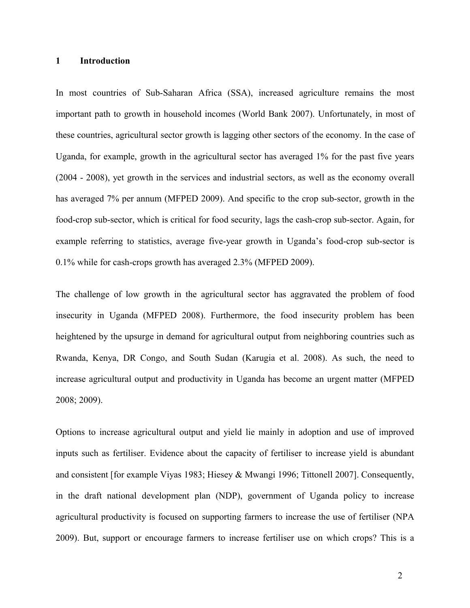# **1 Introduction**

In most countries of Sub-Saharan Africa (SSA), increased agriculture remains the most important path to growth in household incomes (World Bank 2007). Unfortunately, in most of these countries, agricultural sector growth is lagging other sectors of the economy. In the case of Uganda, for example, growth in the agricultural sector has averaged 1% for the past five years (2004 - 2008), yet growth in the services and industrial sectors, as well as the economy overall has averaged 7% per annum (MFPED 2009). And specific to the crop sub-sector, growth in the food-crop sub-sector, which is critical for food security, lags the cash-crop sub-sector. Again, for example referring to statistics, average five-year growth in Uganda's food-crop sub-sector is 0.1% while for cash-crops growth has averaged 2.3% (MFPED 2009).

The challenge of low growth in the agricultural sector has aggravated the problem of food insecurity in Uganda (MFPED 2008). Furthermore, the food insecurity problem has been heightened by the upsurge in demand for agricultural output from neighboring countries such as Rwanda, Kenya, DR Congo, and South Sudan (Karugia et al. 2008). As such, the need to increase agricultural output and productivity in Uganda has become an urgent matter (MFPED 2008; 2009).

Options to increase agricultural output and yield lie mainly in adoption and use of improved inputs such as fertiliser. Evidence about the capacity of fertiliser to increase yield is abundant and consistent [for example Viyas 1983; Hiesey & Mwangi 1996; Tittonell 2007]. Consequently, in the draft national development plan (NDP), government of Uganda policy to increase agricultural productivity is focused on supporting farmers to increase the use of fertiliser (NPA 2009). But, support or encourage farmers to increase fertiliser use on which crops? This is a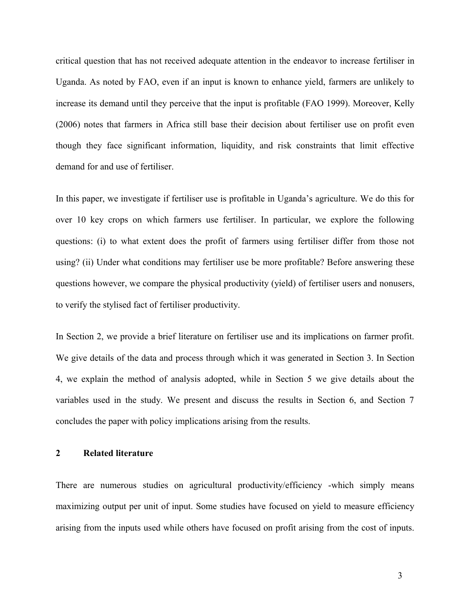critical question that has not received adequate attention in the endeavor to increase fertiliser in Uganda. As noted by FAO, even if an input is known to enhance yield, farmers are unlikely to increase its demand until they perceive that the input is profitable (FAO 1999). Moreover, Kelly (2006) notes that farmers in Africa still base their decision about fertiliser use on profit even though they face significant information, liquidity, and risk constraints that limit effective demand for and use of fertiliser.

In this paper, we investigate if fertiliser use is profitable in Uganda's agriculture. We do this for over 10 key crops on which farmers use fertiliser. In particular, we explore the following questions: (i) to what extent does the profit of farmers using fertiliser differ from those not using? (ii) Under what conditions may fertiliser use be more profitable? Before answering these questions however, we compare the physical productivity (yield) of fertiliser users and nonusers, to verify the stylised fact of fertiliser productivity.

In Section 2, we provide a brief literature on fertiliser use and its implications on farmer profit. We give details of the data and process through which it was generated in Section 3. In Section 4, we explain the method of analysis adopted, while in Section 5 we give details about the variables used in the study. We present and discuss the results in Section 6, and Section 7 concludes the paper with policy implications arising from the results.

# **2 Related literature**

There are numerous studies on agricultural productivity/efficiency -which simply means maximizing output per unit of input. Some studies have focused on yield to measure efficiency arising from the inputs used while others have focused on profit arising from the cost of inputs.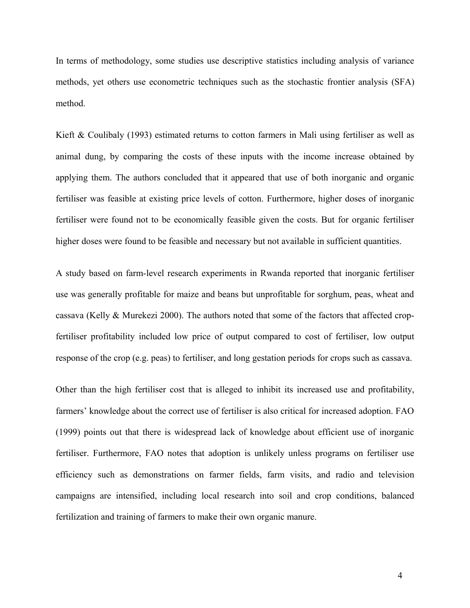In terms of methodology, some studies use descriptive statistics including analysis of variance methods, yet others use econometric techniques such as the stochastic frontier analysis (SFA) method.

Kieft & Coulibaly (1993) estimated returns to cotton farmers in Mali using fertiliser as well as animal dung, by comparing the costs of these inputs with the income increase obtained by applying them. The authors concluded that it appeared that use of both inorganic and organic fertiliser was feasible at existing price levels of cotton. Furthermore, higher doses of inorganic fertiliser were found not to be economically feasible given the costs. But for organic fertiliser higher doses were found to be feasible and necessary but not available in sufficient quantities.

A study based on farm-level research experiments in Rwanda reported that inorganic fertiliser use was generally profitable for maize and beans but unprofitable for sorghum, peas, wheat and cassava (Kelly & Murekezi 2000). The authors noted that some of the factors that affected cropfertiliser profitability included low price of output compared to cost of fertiliser, low output response of the crop (e.g. peas) to fertiliser, and long gestation periods for crops such as cassava.

Other than the high fertiliser cost that is alleged to inhibit its increased use and profitability, farmers' knowledge about the correct use of fertiliser is also critical for increased adoption. FAO (1999) points out that there is widespread lack of knowledge about efficient use of inorganic fertiliser. Furthermore, FAO notes that adoption is unlikely unless programs on fertiliser use efficiency such as demonstrations on farmer fields, farm visits, and radio and television campaigns are intensified, including local research into soil and crop conditions, balanced fertilization and training of farmers to make their own organic manure.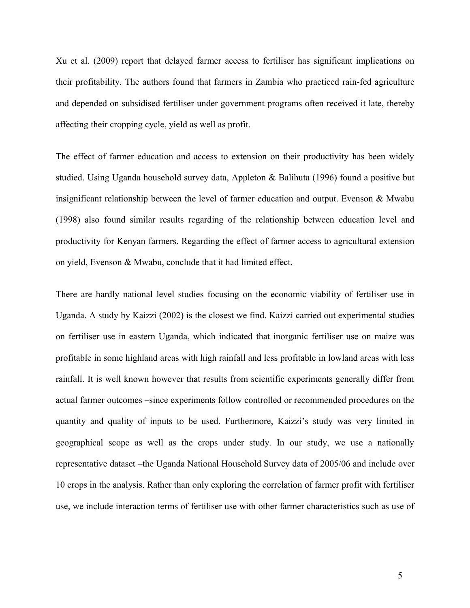Xu et al. (2009) report that delayed farmer access to fertiliser has significant implications on their profitability. The authors found that farmers in Zambia who practiced rain-fed agriculture and depended on subsidised fertiliser under government programs often received it late, thereby affecting their cropping cycle, yield as well as profit.

The effect of farmer education and access to extension on their productivity has been widely studied. Using Uganda household survey data, Appleton & Balihuta (1996) found a positive but insignificant relationship between the level of farmer education and output. Evenson & Mwabu (1998) also found similar results regarding of the relationship between education level and productivity for Kenyan farmers. Regarding the effect of farmer access to agricultural extension on yield, Evenson & Mwabu, conclude that it had limited effect.

There are hardly national level studies focusing on the economic viability of fertiliser use in Uganda. A study by Kaizzi (2002) is the closest we find. Kaizzi carried out experimental studies on fertiliser use in eastern Uganda, which indicated that inorganic fertiliser use on maize was profitable in some highland areas with high rainfall and less profitable in lowland areas with less rainfall. It is well known however that results from scientific experiments generally differ from actual farmer outcomes –since experiments follow controlled or recommended procedures on the quantity and quality of inputs to be used. Furthermore, Kaizzi's study was very limited in geographical scope as well as the crops under study. In our study, we use a nationally representative dataset –the Uganda National Household Survey data of 2005/06 and include over 10 crops in the analysis. Rather than only exploring the correlation of farmer profit with fertiliser use, we include interaction terms of fertiliser use with other farmer characteristics such as use of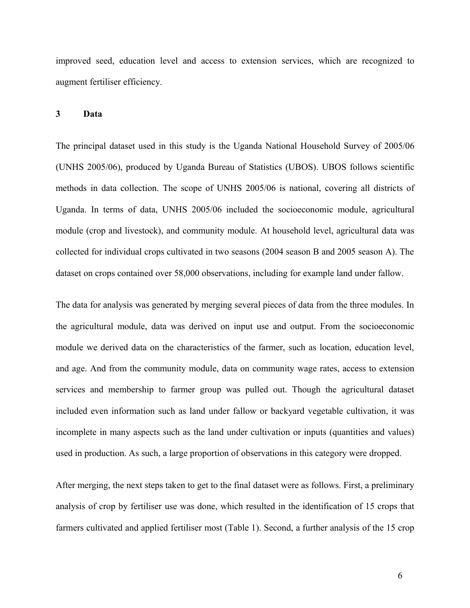improved seed, education level and access to extension services, which are recognized to augment fertiliser efficiency.

# **3 Data**

The principal dataset used in this study is the Uganda National Household Survey of 2005/06 (UNHS 2005/06), produced by Uganda Bureau of Statistics (UBOS). UBOS follows scientific methods in data collection. The scope of UNHS 2005/06 is national, covering all districts of Uganda. In terms of data, UNHS 2005/06 included the socioeconomic module, agricultural module (crop and livestock), and community module. At household level, agricultural data was collected for individual crops cultivated in two seasons (2004 season B and 2005 season A). The dataset on crops contained over 58,000 observations, including for example land under fallow.

The data for analysis was generated by merging several pieces of data from the three modules. In the agricultural module, data was derived on input use and output. From the socioeconomic module we derived data on the characteristics of the farmer, such as location, education level, and age. And from the community module, data on community wage rates, access to extension services and membership to farmer group was pulled out. Though the agricultural dataset included even information such as land under fallow or backyard vegetable cultivation, it was incomplete in many aspects such as the land under cultivation or inputs (quantities and values) used in production. As such, a large proportion of observations in this category were dropped.

After merging, the next steps taken to get to the final dataset were as follows. First, a preliminary analysis of crop by fertiliser use was done, which resulted in the identification of 15 crops that farmers cultivated and applied fertiliser most (Table 1). Second, a further analysis of the 15 crop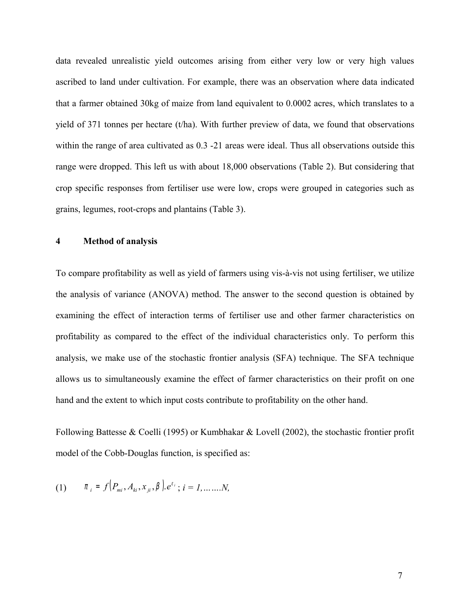data revealed unrealistic yield outcomes arising from either very low or very high values ascribed to land under cultivation. For example, there was an observation where data indicated that a farmer obtained 30kg of maize from land equivalent to 0.0002 acres, which translates to a yield of 371 tonnes per hectare (t/ha). With further preview of data, we found that observations within the range of area cultivated as  $0.3$  -21 areas were ideal. Thus all observations outside this range were dropped. This left us with about 18,000 observations (Table 2). But considering that crop specific responses from fertiliser use were low, crops were grouped in categories such as grains, legumes, root-crops and plantains (Table 3).

# **4 Method of analysis**

To compare profitability as well as yield of farmers using vis-à-vis not using fertiliser, we utilize the analysis of variance (ANOVA) method. The answer to the second question is obtained by examining the effect of interaction terms of fertiliser use and other farmer characteristics on profitability as compared to the effect of the individual characteristics only. To perform this analysis, we make use of the stochastic frontier analysis (SFA) technique. The SFA technique allows us to simultaneously examine the effect of farmer characteristics on their profit on one hand and the extent to which input costs contribute to profitability on the other hand.

Following Battesse & Coelli (1995) or Kumbhakar & Lovell (2002), the stochastic frontier profit model of the Cobb-Douglas function, is specified as:

(1) 
$$
\pi_i = f(P_{mi}, A_{ki}, x_{ji}, \beta) \cdot e^{\epsilon_i}; i = 1, \dots, N,
$$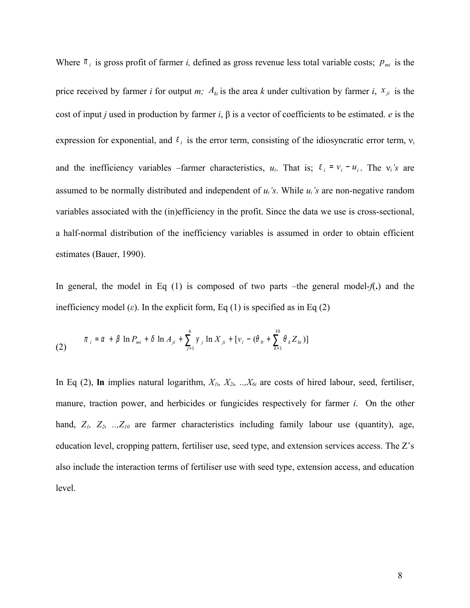Where  $\pi_i$  is gross profit of farmer *i*, defined as gross revenue less total variable costs;  $p_{mi}$  is the price received by farmer *i* for output *m;*  $A_{ki}$  is the area *k* under cultivation by farmer *i*,  $x_{ji}$  is the cost of input *j* used in production by farmer *i*, β is a vector of coefficients to be estimated. *e* is the expression for exponential, and  $\varepsilon_i$  is the error term, consisting of the idiosyncratic error term,  $v_i$ and the inefficiency variables –farmer characteristics,  $u_i$ . That is;  $\varepsilon_i = v_i - u_i$ . The  $v_i$ 's are assumed to be normally distributed and independent of  $u_i$ 's. While  $u_i$ 's are non-negative random variables associated with the (in)efficiency in the profit. Since the data we use is cross-sectional, a half-normal distribution of the inefficiency variables is assumed in order to obtain efficient estimates (Bauer, 1990).

In general, the model in Eq (1) is composed of two parts –the general model-*f*(**.**) and the inefficiency model  $(\varepsilon)$ . In the explicit form, Eq (1) is specified as in Eq (2)

(2) 
$$
\pi_{i} = \alpha + \beta \ln P_{mi} + \delta \ln A_{ji} + \sum_{j=1}^{6} \gamma_{j} \ln X_{ji} + [\nu_{i} - (\theta_{0} + \sum_{k=1}^{10} \theta_{k} Z_{ki})]
$$

In Eq (2), **ln** implies natural logarithm, *X1i, X2i, ..,X6i* are costs of hired labour, seed, fertiliser, manure, traction power, and herbicides or fungicides respectively for farmer *i*. On the other hand, *Z1, Z2, ..,Z10* are farmer characteristics including family labour use (quantity), age, education level, cropping pattern, fertiliser use, seed type, and extension services access. The Z's also include the interaction terms of fertiliser use with seed type, extension access, and education level.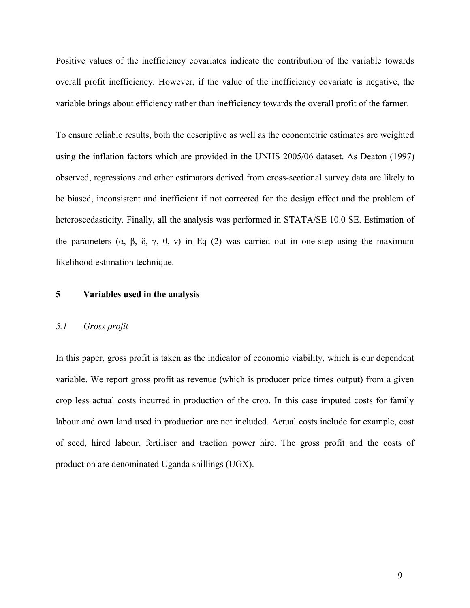Positive values of the inefficiency covariates indicate the contribution of the variable towards overall profit inefficiency. However, if the value of the inefficiency covariate is negative, the variable brings about efficiency rather than inefficiency towards the overall profit of the farmer.

To ensure reliable results, both the descriptive as well as the econometric estimates are weighted using the inflation factors which are provided in the UNHS 2005/06 dataset. As Deaton (1997) observed, regressions and other estimators derived from cross-sectional survey data are likely to be biased, inconsistent and inefficient if not corrected for the design effect and the problem of heteroscedasticity. Finally, all the analysis was performed in STATA/SE 10.0 SE. Estimation of the parameters (α, β, δ, γ, θ, ν) in Eq (2) was carried out in one-step using the maximum likelihood estimation technique.

#### **5 Variables used in the analysis**

## *5.1 Gross profit*

In this paper, gross profit is taken as the indicator of economic viability, which is our dependent variable. We report gross profit as revenue (which is producer price times output) from a given crop less actual costs incurred in production of the crop. In this case imputed costs for family labour and own land used in production are not included. Actual costs include for example, cost of seed, hired labour, fertiliser and traction power hire. The gross profit and the costs of production are denominated Uganda shillings (UGX).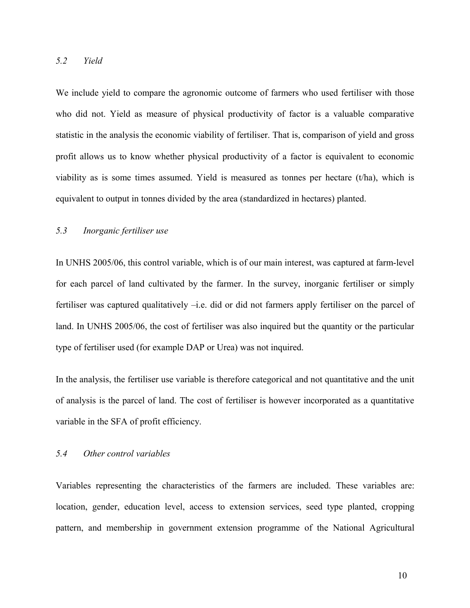# *5.2 Yield*

We include yield to compare the agronomic outcome of farmers who used fertiliser with those who did not. Yield as measure of physical productivity of factor is a valuable comparative statistic in the analysis the economic viability of fertiliser. That is, comparison of yield and gross profit allows us to know whether physical productivity of a factor is equivalent to economic viability as is some times assumed. Yield is measured as tonnes per hectare (t/ha), which is equivalent to output in tonnes divided by the area (standardized in hectares) planted.

# *5.3 Inorganic fertiliser use*

In UNHS 2005/06, this control variable, which is of our main interest, was captured at farm-level for each parcel of land cultivated by the farmer. In the survey, inorganic fertiliser or simply fertiliser was captured qualitatively –i.e. did or did not farmers apply fertiliser on the parcel of land. In UNHS 2005/06, the cost of fertiliser was also inquired but the quantity or the particular type of fertiliser used (for example DAP or Urea) was not inquired.

In the analysis, the fertiliser use variable is therefore categorical and not quantitative and the unit of analysis is the parcel of land. The cost of fertiliser is however incorporated as a quantitative variable in the SFA of profit efficiency.

# *5.4 Other control variables*

Variables representing the characteristics of the farmers are included. These variables are: location, gender, education level, access to extension services, seed type planted, cropping pattern, and membership in government extension programme of the National Agricultural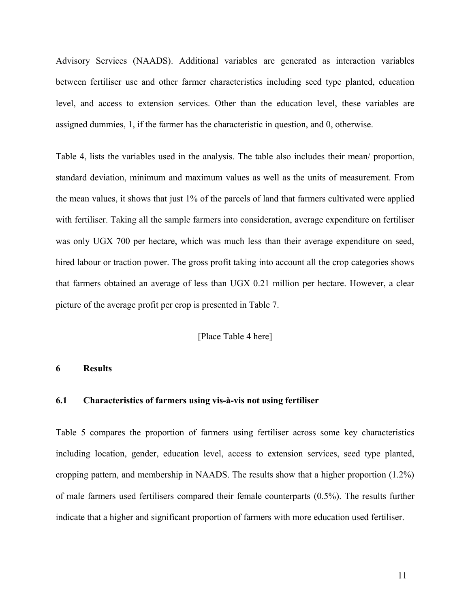Advisory Services (NAADS). Additional variables are generated as interaction variables between fertiliser use and other farmer characteristics including seed type planted, education level, and access to extension services. Other than the education level, these variables are assigned dummies, 1, if the farmer has the characteristic in question, and 0, otherwise.

Table 4, lists the variables used in the analysis. The table also includes their mean/ proportion, standard deviation, minimum and maximum values as well as the units of measurement. From the mean values, it shows that just 1% of the parcels of land that farmers cultivated were applied with fertiliser. Taking all the sample farmers into consideration, average expenditure on fertiliser was only UGX 700 per hectare, which was much less than their average expenditure on seed, hired labour or traction power. The gross profit taking into account all the crop categories shows that farmers obtained an average of less than UGX 0.21 million per hectare. However, a clear picture of the average profit per crop is presented in Table 7.

#### [Place Table 4 here]

#### **6 Results**

## **6.1 Characteristics of farmers using vis-à-vis not using fertiliser**

Table 5 compares the proportion of farmers using fertiliser across some key characteristics including location, gender, education level, access to extension services, seed type planted, cropping pattern, and membership in NAADS. The results show that a higher proportion (1.2%) of male farmers used fertilisers compared their female counterparts (0.5%). The results further indicate that a higher and significant proportion of farmers with more education used fertiliser.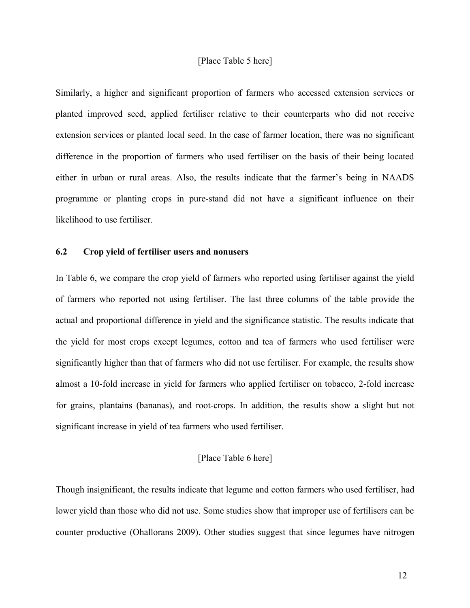## [Place Table 5 here]

Similarly, a higher and significant proportion of farmers who accessed extension services or planted improved seed, applied fertiliser relative to their counterparts who did not receive extension services or planted local seed. In the case of farmer location, there was no significant difference in the proportion of farmers who used fertiliser on the basis of their being located either in urban or rural areas. Also, the results indicate that the farmer's being in NAADS programme or planting crops in pure-stand did not have a significant influence on their likelihood to use fertiliser.

#### **6.2 Crop yield of fertiliser users and nonusers**

In Table 6, we compare the crop yield of farmers who reported using fertiliser against the yield of farmers who reported not using fertiliser. The last three columns of the table provide the actual and proportional difference in yield and the significance statistic. The results indicate that the yield for most crops except legumes, cotton and tea of farmers who used fertiliser were significantly higher than that of farmers who did not use fertiliser. For example, the results show almost a 10-fold increase in yield for farmers who applied fertiliser on tobacco, 2-fold increase for grains, plantains (bananas), and root-crops. In addition, the results show a slight but not significant increase in yield of tea farmers who used fertiliser.

## [Place Table 6 here]

Though insignificant, the results indicate that legume and cotton farmers who used fertiliser, had lower yield than those who did not use. Some studies show that improper use of fertilisers can be counter productive (Ohallorans 2009). Other studies suggest that since legumes have nitrogen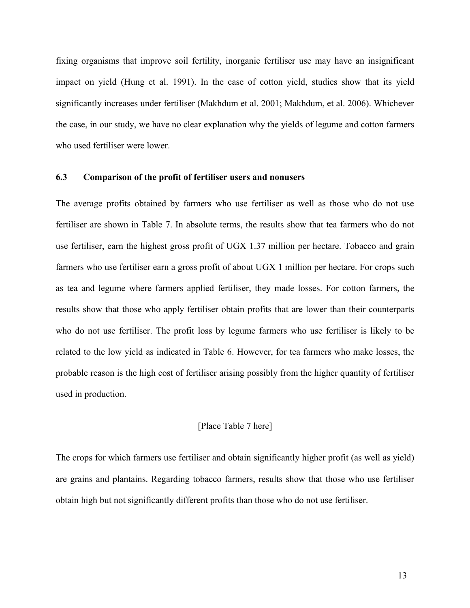fixing organisms that improve soil fertility, inorganic fertiliser use may have an insignificant impact on yield (Hung et al. 1991). In the case of cotton yield, studies show that its yield significantly increases under fertiliser (Makhdum et al. 2001; Makhdum, et al. 2006). Whichever the case, in our study, we have no clear explanation why the yields of legume and cotton farmers who used fertiliser were lower.

# **6.3 Comparison of the profit of fertiliser users and nonusers**

The average profits obtained by farmers who use fertiliser as well as those who do not use fertiliser are shown in Table 7. In absolute terms, the results show that tea farmers who do not use fertiliser, earn the highest gross profit of UGX 1.37 million per hectare. Tobacco and grain farmers who use fertiliser earn a gross profit of about UGX 1 million per hectare. For crops such as tea and legume where farmers applied fertiliser, they made losses. For cotton farmers, the results show that those who apply fertiliser obtain profits that are lower than their counterparts who do not use fertiliser. The profit loss by legume farmers who use fertiliser is likely to be related to the low yield as indicated in Table 6. However, for tea farmers who make losses, the probable reason is the high cost of fertiliser arising possibly from the higher quantity of fertiliser used in production.

# [Place Table 7 here]

The crops for which farmers use fertiliser and obtain significantly higher profit (as well as yield) are grains and plantains. Regarding tobacco farmers, results show that those who use fertiliser obtain high but not significantly different profits than those who do not use fertiliser.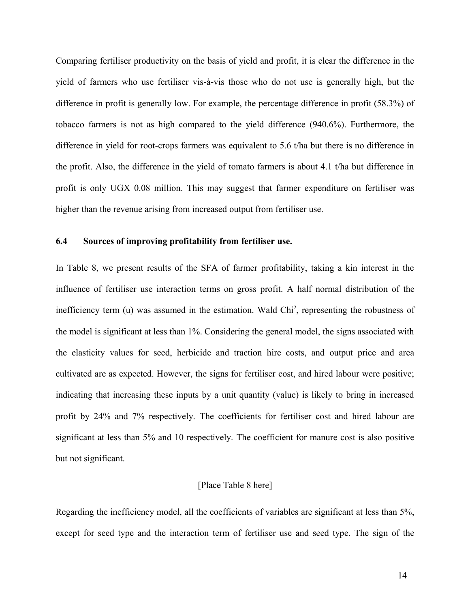Comparing fertiliser productivity on the basis of yield and profit, it is clear the difference in the yield of farmers who use fertiliser vis-à-vis those who do not use is generally high, but the difference in profit is generally low. For example, the percentage difference in profit (58.3%) of tobacco farmers is not as high compared to the yield difference (940.6%). Furthermore, the difference in yield for root-crops farmers was equivalent to 5.6 t/ha but there is no difference in the profit. Also, the difference in the yield of tomato farmers is about 4.1 t/ha but difference in profit is only UGX 0.08 million. This may suggest that farmer expenditure on fertiliser was higher than the revenue arising from increased output from fertiliser use.

# **6.4 Sources of improving profitability from fertiliser use.**

In Table 8, we present results of the SFA of farmer profitability, taking a kin interest in the influence of fertiliser use interaction terms on gross profit. A half normal distribution of the inefficiency term  $(u)$  was assumed in the estimation. Wald  $Chi<sup>2</sup>$ , representing the robustness of the model is significant at less than 1%. Considering the general model, the signs associated with the elasticity values for seed, herbicide and traction hire costs, and output price and area cultivated are as expected. However, the signs for fertiliser cost, and hired labour were positive; indicating that increasing these inputs by a unit quantity (value) is likely to bring in increased profit by 24% and 7% respectively. The coefficients for fertiliser cost and hired labour are significant at less than 5% and 10 respectively. The coefficient for manure cost is also positive but not significant.

## [Place Table 8 here]

Regarding the inefficiency model, all the coefficients of variables are significant at less than 5%, except for seed type and the interaction term of fertiliser use and seed type. The sign of the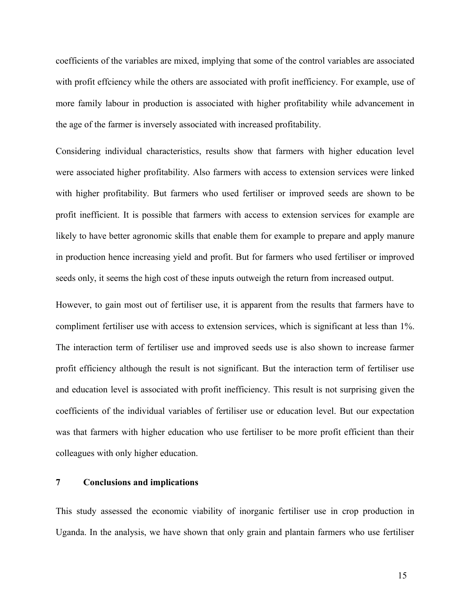coefficients of the variables are mixed, implying that some of the control variables are associated with profit effciency while the others are associated with profit inefficiency. For example, use of more family labour in production is associated with higher profitability while advancement in the age of the farmer is inversely associated with increased profitability.

Considering individual characteristics, results show that farmers with higher education level were associated higher profitability. Also farmers with access to extension services were linked with higher profitability. But farmers who used fertiliser or improved seeds are shown to be profit inefficient. It is possible that farmers with access to extension services for example are likely to have better agronomic skills that enable them for example to prepare and apply manure in production hence increasing yield and profit. But for farmers who used fertiliser or improved seeds only, it seems the high cost of these inputs outweigh the return from increased output.

However, to gain most out of fertiliser use, it is apparent from the results that farmers have to compliment fertiliser use with access to extension services, which is significant at less than 1%. The interaction term of fertiliser use and improved seeds use is also shown to increase farmer profit efficiency although the result is not significant. But the interaction term of fertiliser use and education level is associated with profit inefficiency. This result is not surprising given the coefficients of the individual variables of fertiliser use or education level. But our expectation was that farmers with higher education who use fertiliser to be more profit efficient than their colleagues with only higher education.

# **7 Conclusions and implications**

This study assessed the economic viability of inorganic fertiliser use in crop production in Uganda. In the analysis, we have shown that only grain and plantain farmers who use fertiliser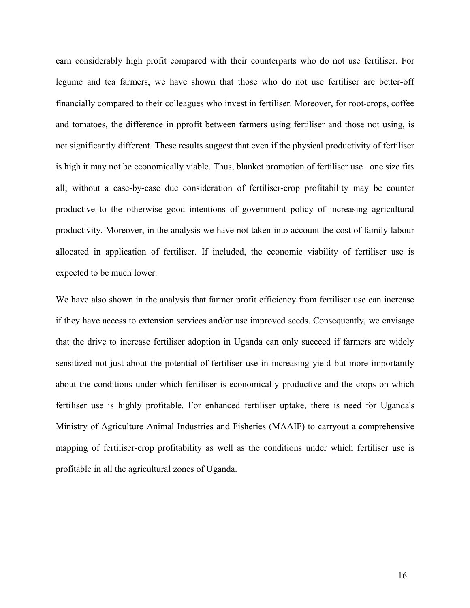earn considerably high profit compared with their counterparts who do not use fertiliser. For legume and tea farmers, we have shown that those who do not use fertiliser are better-off financially compared to their colleagues who invest in fertiliser. Moreover, for root-crops, coffee and tomatoes, the difference in pprofit between farmers using fertiliser and those not using, is not significantly different. These results suggest that even if the physical productivity of fertiliser is high it may not be economically viable. Thus, blanket promotion of fertiliser use –one size fits all; without a case-by-case due consideration of fertiliser-crop profitability may be counter productive to the otherwise good intentions of government policy of increasing agricultural productivity. Moreover, in the analysis we have not taken into account the cost of family labour allocated in application of fertiliser. If included, the economic viability of fertiliser use is expected to be much lower.

We have also shown in the analysis that farmer profit efficiency from fertiliser use can increase if they have access to extension services and/or use improved seeds. Consequently, we envisage that the drive to increase fertiliser adoption in Uganda can only succeed if farmers are widely sensitized not just about the potential of fertiliser use in increasing yield but more importantly about the conditions under which fertiliser is economically productive and the crops on which fertiliser use is highly profitable. For enhanced fertiliser uptake, there is need for Uganda's Ministry of Agriculture Animal Industries and Fisheries (MAAIF) to carryout a comprehensive mapping of fertiliser-crop profitability as well as the conditions under which fertiliser use is profitable in all the agricultural zones of Uganda.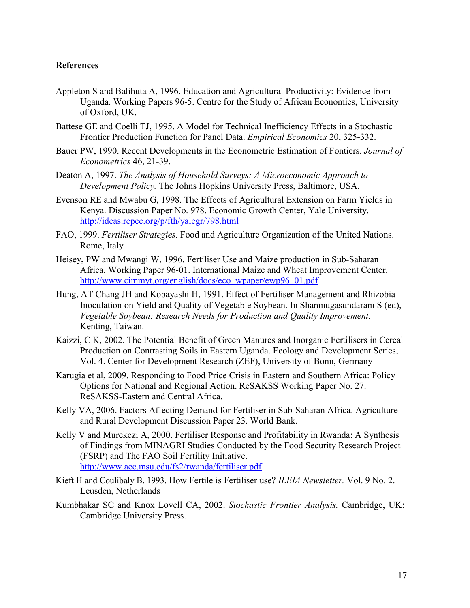## **References**

- Appleton S and Balihuta A, 1996. Education and Agricultural Productivity: Evidence from Uganda. Working Papers 96-5. Centre for the Study of African Economies, University of Oxford, UK.
- Battese GE and Coelli TJ, 1995. A Model for Technical Inefficiency Effects in a Stochastic Frontier Production Function for Panel Data. *Empirical Economics* 20, 325-332.
- Bauer PW, 1990. Recent Developments in the Econometric Estimation of Fontiers. *Journal of Econometrics* 46, 21-39.
- Deaton A, 1997. *The Analysis of Household Surveys: A Microeconomic Approach to Development Policy.* The Johns Hopkins University Press, Baltimore, USA.
- Evenson RE and Mwabu G, 1998. The Effects of Agricultural Extension on Farm Yields in Kenya. Discussion Paper No. 978. Economic Growth Center, Yale University. http://ideas.repec.org/p/fth/yalegr/798.html
- FAO, 1999. *Fertiliser Strategies.* Food and Agriculture Organization of the United Nations. Rome, Italy
- Heisey**,** PW and Mwangi W, 1996. Fertiliser Use and Maize production in Sub-Saharan Africa. Working Paper 96-01. International Maize and Wheat Improvement Center. http://www.cimmyt.org/english/docs/eco\_wpaper/ewp96\_01.pdf
- Hung, AT Chang JH and Kobayashi H, 1991. Effect of Fertiliser Management and Rhizobia Inoculation on Yield and Quality of Vegetable Soybean. In Shanmugasundaram S (ed), *Vegetable Soybean: Research Needs for Production and Quality Improvement.*  Kenting, Taiwan.
- Kaizzi, C K, 2002. The Potential Benefit of Green Manures and Inorganic Fertilisers in Cereal Production on Contrasting Soils in Eastern Uganda. Ecology and Development Series, Vol. 4. Center for Development Research (ZEF), University of Bonn, Germany
- Karugia et al, 2009. Responding to Food Price Crisis in Eastern and Southern Africa: Policy Options for National and Regional Action. ReSAKSS Working Paper No. 27. ReSAKSS-Eastern and Central Africa.
- Kelly VA, 2006. Factors Affecting Demand for Fertiliser in Sub-Saharan Africa. Agriculture and Rural Development Discussion Paper 23. World Bank.
- Kelly V and Murekezi A, 2000. Fertiliser Response and Profitability in Rwanda: A Synthesis of Findings from MINAGRI Studies Conducted by the Food Security Research Project (FSRP) and The FAO Soil Fertility Initiative. http://www.aec.msu.edu/fs2/rwanda/fertiliser.pdf
- Kieft H and Coulibaly B, 1993. How Fertile is Fertiliser use? *ILEIA Newsletter.* Vol. 9 No. 2. Leusden, Netherlands
- Kumbhakar SC and Knox Lovell CA, 2002. *Stochastic Frontier Analysis.* Cambridge, UK: Cambridge University Press.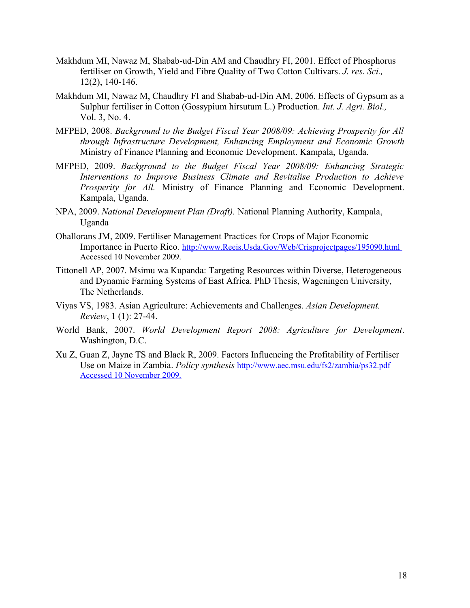- Makhdum MI, Nawaz M, Shabab-ud-Din AM and Chaudhry FI, 2001. Effect of Phosphorus fertiliser on Growth, Yield and Fibre Quality of Two Cotton Cultivars. *J. res. Sci.,*  12(2), 140-146.
- Makhdum MI, Nawaz M, Chaudhry FI and Shabab-ud-Din AM, 2006. Effects of Gypsum as a Sulphur fertiliser in Cotton (Gossypium hirsutum L.) Production. *Int. J. Agri. Biol.,*  Vol. 3, No. 4.
- MFPED, 2008. *Background to the Budget Fiscal Year 2008/09: Achieving Prosperity for All through Infrastructure Development, Enhancing Employment and Economic Growth*  Ministry of Finance Planning and Economic Development. Kampala, Uganda.
- MFPED, 2009. *Background to the Budget Fiscal Year 2008/09: Enhancing Strategic Interventions to Improve Business Climate and Revitalise Production to Achieve Prosperity for All.* Ministry of Finance Planning and Economic Development. Kampala, Uganda.
- NPA, 2009. *National Development Plan (Draft).* National Planning Authority, Kampala, Uganda
- Ohallorans JM, 2009. Fertiliser Management Practices for Crops of Major Economic Importance in Puerto Rico*.* http://www.Reeis.Usda.Gov/Web/Crisprojectpages/195090.html Accessed 10 November 2009.
- Tittonell AP, 2007. Msimu wa Kupanda: Targeting Resources within Diverse, Heterogeneous and Dynamic Farming Systems of East Africa. PhD Thesis, Wageningen University, The Netherlands.
- Viyas VS, 1983. Asian Agriculture: Achievements and Challenges. *Asian Development. Review*, 1 (1): 27-44.
- World Bank, 2007. *World Development Report 2008: Agriculture for Development*. Washington, D.C.
- Xu Z, Guan Z, Jayne TS and Black R, 2009. Factors Influencing the Profitability of Fertiliser Use on Maize in Zambia. *Policy synthesis* http://www.aec.msu.edu/fs2/zambia/ps32.pdf Accessed 10 November 2009.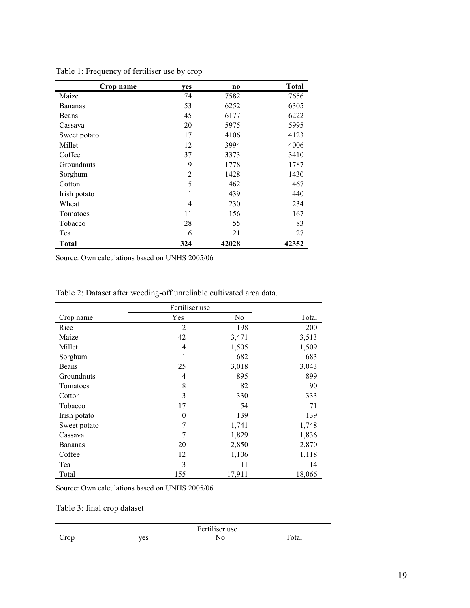| Crop name      | yes | n <sub>0</sub> | <b>Total</b> |
|----------------|-----|----------------|--------------|
| Maize          | 74  | 7582           | 7656         |
| <b>Bananas</b> | 53  | 6252           | 6305         |
| Beans          | 45  | 6177           | 6222         |
| Cassava        | 20  | 5975           | 5995         |
| Sweet potato   | 17  | 4106           | 4123         |
| Millet         | 12  | 3994           | 4006         |
| Coffee         | 37  | 3373           | 3410         |
| Groundnuts     | 9   | 1778           | 1787         |
| Sorghum        | 2   | 1428           | 1430         |
| Cotton         | 5   | 462            | 467          |
| Irish potato   |     | 439            | 440          |
| Wheat          | 4   | 230            | 234          |
| Tomatoes       | 11  | 156            | 167          |
| Tobacco        | 28  | 55             | 83           |
| Tea            | 6   | 21             | 27           |
| <b>Total</b>   | 324 | 42028          | 42352        |

Table 1: Frequency of fertiliser use by crop

|                | Fertiliser use |                |        |
|----------------|----------------|----------------|--------|
| Crop name      | Yes            | N <sub>0</sub> | Total  |
| Rice           | $\overline{2}$ | 198            | 200    |
| Maize          | 42             | 3,471          | 3,513  |
| Millet         | 4              | 1,505          | 1,509  |
| Sorghum        | 1              | 682            | 683    |
| Beans          | 25             | 3,018          | 3,043  |
| Groundnuts     | 4              | 895            | 899    |
| Tomatoes       | 8              | 82             | 90     |
| Cotton         | 3              | 330            | 333    |
| Tobacco        | 17             | 54             | 71     |
| Irish potato   | 0              | 139            | 139    |
| Sweet potato   | 7              | 1,741          | 1,748  |
| Cassava        | 7              | 1,829          | 1,836  |
| <b>Bananas</b> | 20             | 2,850          | 2,870  |
| Coffee         | 12             | 1,106          | 1,118  |
| Tea            | 3              | 11             | 14     |
| Total          | 155            | 17,911         | 18,066 |

Table 2: Dataset after weeding-off unreliable cultivated area data.

Source: Own calculations based on UNHS 2005/06

Table 3: final crop dataset

|      |     | Fertiliser use |       |
|------|-----|----------------|-------|
| Crop | yes | No             | Total |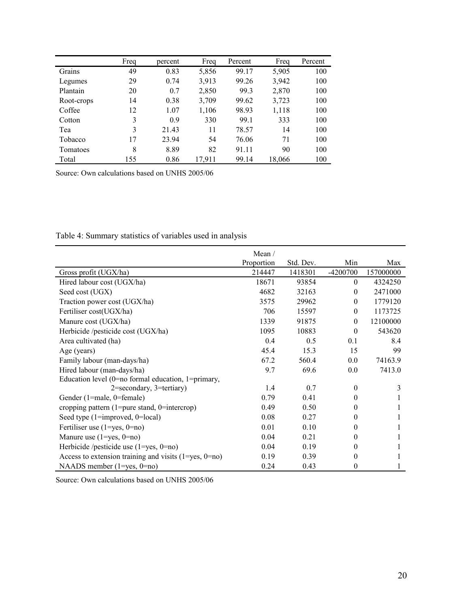|            | Freq | percent | Freq   | Percent | Freq   | Percent |
|------------|------|---------|--------|---------|--------|---------|
| Grains     | 49   | 0.83    | 5,856  | 99.17   | 5,905  | 100     |
| Legumes    | 29   | 0.74    | 3,913  | 99.26   | 3,942  | 100     |
| Plantain   | 20   | 0.7     | 2,850  | 99.3    | 2,870  | 100     |
| Root-crops | 14   | 0.38    | 3,709  | 99.62   | 3,723  | 100     |
| Coffee     | 12   | 1.07    | 1,106  | 98.93   | 1,118  | 100     |
| Cotton     | 3    | 0.9     | 330    | 99.1    | 333    | 100     |
| Tea        | 3    | 21.43   | 11     | 78.57   | 14     | 100     |
| Tobacco    | 17   | 23.94   | 54     | 76.06   | 71     | 100     |
| Tomatoes   | 8    | 8.89    | 82     | 91.11   | 90     | 100     |
| Total      | 155  | 0.86    | 17,911 | 99.14   | 18,066 | 100     |

Table 4: Summary statistics of variables used in analysis

|                                                             | Mean /     |           |                  |           |
|-------------------------------------------------------------|------------|-----------|------------------|-----------|
|                                                             | Proportion | Std. Dev. | Min              | Max       |
| Gross profit (UGX/ha)                                       | 214447     | 1418301   | $-4200700$       | 157000000 |
| Hired labour cost (UGX/ha)                                  | 18671      | 93854     | $\theta$         | 4324250   |
| Seed cost (UGX)                                             | 4682       | 32163     | $\mathbf{0}$     | 2471000   |
| Traction power cost (UGX/ha)                                | 3575       | 29962     | $\boldsymbol{0}$ | 1779120   |
| Fertiliser cost(UGX/ha)                                     | 706        | 15597     | $\mathbf{0}$     | 1173725   |
| Manure cost (UGX/ha)                                        | 1339       | 91875     | $\theta$         | 12100000  |
| Herbicide /pesticide cost (UGX/ha)                          | 1095       | 10883     | $\theta$         | 543620    |
| Area cultivated (ha)                                        | 0.4        | 0.5       | 0.1              | 8.4       |
| Age (years)                                                 | 45.4       | 15.3      | 15               | 99        |
| Family labour (man-days/ha)                                 | 67.2       | 560.4     | 0.0              | 74163.9   |
| Hired labour (man-days/ha)                                  | 9.7        | 69.6      | 0.0              | 7413.0    |
| Education level (0=no formal education, 1=primary,          |            |           |                  |           |
| 2=secondary, 3=tertiary)                                    | 1.4        | 0.7       | $\theta$         | 3         |
| Gender (1=male, 0=female)                                   | 0.79       | 0.41      | 0                |           |
| cropping pattern $(1=pure stand, 0=intercop)$               | 0.49       | 0.50      | 0                |           |
| Seed type (1=improved, 0=local)                             | 0.08       | 0.27      | $\theta$         |           |
| Fertiliser use $(1 = yes, 0 = no)$                          | 0.01       | 0.10      | $\theta$         |           |
| Manure use $(1 = yes, 0 = no)$                              | 0.04       | 0.21      | $\boldsymbol{0}$ |           |
| Herbicide /pesticide use $(1 = yes, 0 = no)$                | 0.04       | 0.19      | $\theta$         |           |
| Access to extension training and visits $(1 = yes, 0 = no)$ | 0.19       | 0.39      | $\theta$         |           |
| NAADS member $(1 = yes, 0 = no)$                            | 0.24       | 0.43      | 0                |           |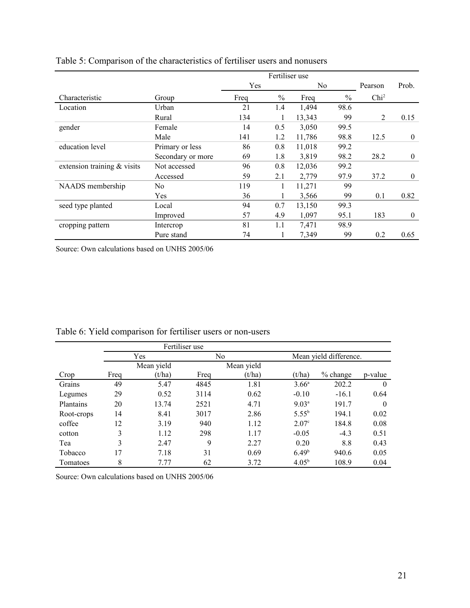|                               |                   | Fertiliser use |      |        |               |                  |              |
|-------------------------------|-------------------|----------------|------|--------|---------------|------------------|--------------|
|                               |                   | Yes            |      | No.    |               | Pearson          | Prob.        |
| Characteristic                | Group             | Freq           | $\%$ | Freq   | $\frac{0}{0}$ | Chi <sup>2</sup> |              |
| Location                      | Urban             | 21             | 1.4  | 1,494  | 98.6          |                  |              |
|                               | Rural             | 134            |      | 13,343 | 99            | 2                | 0.15         |
| gender                        | Female            | 14             | 0.5  | 3,050  | 99.5          |                  |              |
|                               | Male              | 141            | 1.2  | 11,786 | 98.8          | 12.5             | $\mathbf{0}$ |
| education level               | Primary or less   | 86             | 0.8  | 11,018 | 99.2          |                  |              |
|                               | Secondary or more | 69             | 1.8  | 3,819  | 98.2          | 28.2             | $\mathbf{0}$ |
| extension training $&$ visits | Not accessed      | 96             | 0.8  | 12,036 | 99.2          |                  |              |
|                               | Accessed          | 59             | 2.1  | 2,779  | 97.9          | 37.2             | $\mathbf{0}$ |
| NAADS membership              | No.               | 119            |      | 11,271 | 99            |                  |              |
|                               | Yes               | 36             |      | 3,566  | 99            | 0.1              | 0.82         |
| seed type planted             | Local             | 94             | 0.7  | 13,150 | 99.3          |                  |              |
|                               | Improved          | 57             | 4.9  | 1,097  | 95.1          | 183              | $\mathbf{0}$ |
| cropping pattern              | Intercrop         | 81             | 1.1  | 7,471  | 98.9          |                  |              |
|                               | Pure stand        | 74             |      | 7,349  | 99            | 0.2              | 0.65         |

| Table 5: Comparison of the characteristics of fertiliser users and nonusers |
|-----------------------------------------------------------------------------|
|-----------------------------------------------------------------------------|

|            | Fertiliser use |            |      |            |                   |                        |          |  |
|------------|----------------|------------|------|------------|-------------------|------------------------|----------|--|
|            |                | Yes        |      | No         |                   | Mean yield difference. |          |  |
|            |                | Mean yield |      | Mean yield |                   |                        |          |  |
| Crop       | Freq           | (t/ha)     | Freq | (t/ha)     | (t/ha)            | $%$ change             | p-value  |  |
| Grains     | 49             | 5.47       | 4845 | 1.81       | $3.66^{\circ}$    | 202.2                  | $\Omega$ |  |
| Legumes    | 29             | 0.52       | 3114 | 0.62       | $-0.10$           | $-16.1$                | 0.64     |  |
| Plantains  | 20             | 13.74      | 2521 | 4.71       | $9.03^a$          | 191.7                  | $\Omega$ |  |
| Root-crops | 14             | 8.41       | 3017 | 2.86       | $5.55^{b}$        | 194.1                  | 0.02     |  |
| coffee     | 12             | 3.19       | 940  | 1.12       | 2.07 <sup>c</sup> | 184.8                  | 0.08     |  |
| cotton     | 3              | 1.12       | 298  | 1.17       | $-0.05$           | $-4.3$                 | 0.51     |  |
| Tea        | 3              | 2.47       | 9    | 2.27       | 0.20              | 8.8                    | 0.43     |  |
| Tobacco    | 17             | 7.18       | 31   | 0.69       | 6.49 <sup>b</sup> | 940.6                  | 0.05     |  |
| Tomatoes   | 8              | 7.77       | 62   | 3.72       | 4.05 <sup>b</sup> | 108.9                  | 0.04     |  |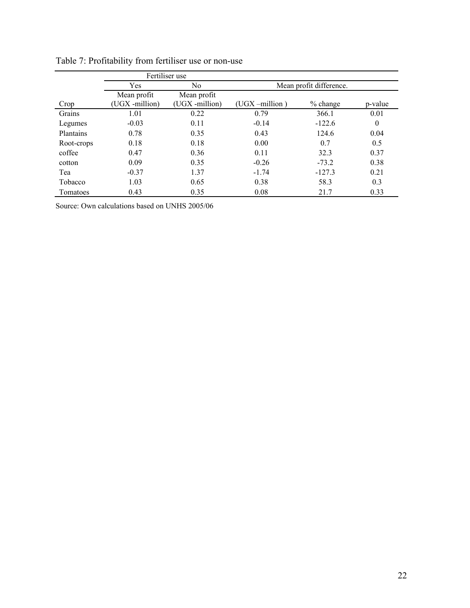|                  | Fertiliser use |                |                   |                         |          |
|------------------|----------------|----------------|-------------------|-------------------------|----------|
|                  | Yes            | N <sub>0</sub> |                   | Mean profit difference. |          |
|                  | Mean profit    | Mean profit    |                   |                         |          |
| Crop             | (UGX -million) | (UGX -million) | $(UGX - million)$ | $%$ change              | p-value  |
| Grains           | 1.01           | 0.22           | 0.79              | 366.1                   | 0.01     |
| Legumes          | $-0.03$        | 0.11           | $-0.14$           | $-122.6$                | $\theta$ |
| <b>Plantains</b> | 0.78           | 0.35           | 0.43              | 124.6                   | 0.04     |
| Root-crops       | 0.18           | 0.18           | 0.00              | 0.7                     | 0.5      |
| coffee           | 0.47           | 0.36           | 0.11              | 32.3                    | 0.37     |
| cotton           | 0.09           | 0.35           | $-0.26$           | $-73.2$                 | 0.38     |
| Tea              | $-0.37$        | 1.37           | $-1.74$           | $-127.3$                | 0.21     |
| Tobacco          | 1.03           | 0.65           | 0.38              | 58.3                    | 0.3      |
| Tomatoes         | 0.43           | 0.35           | 0.08              | 21.7                    | 0.33     |

Table 7: Profitability from fertiliser use or non-use